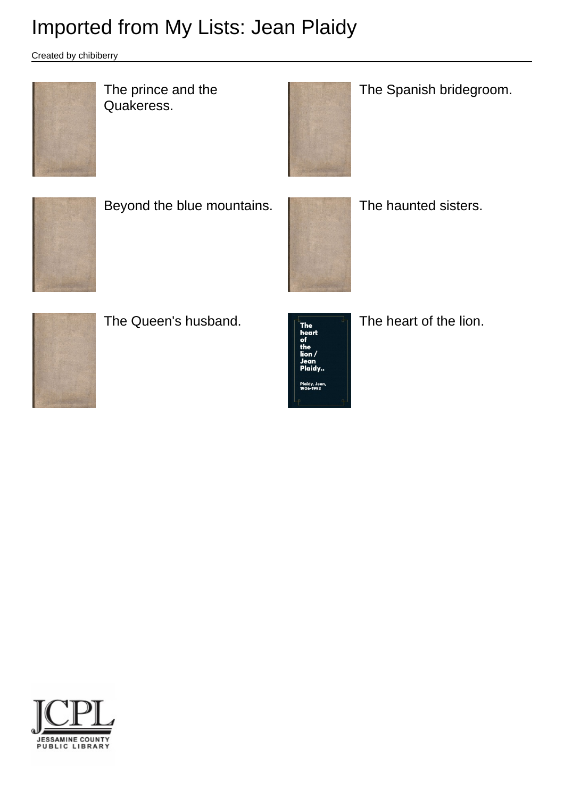Created by chibiberry



The prince and the Quakeress.



The Spanish bridegroom.



Beyond the blue mountains. The haunted sisters.





The Queen's husband.  $T_{\text{heat}}$  The heart of the lion.



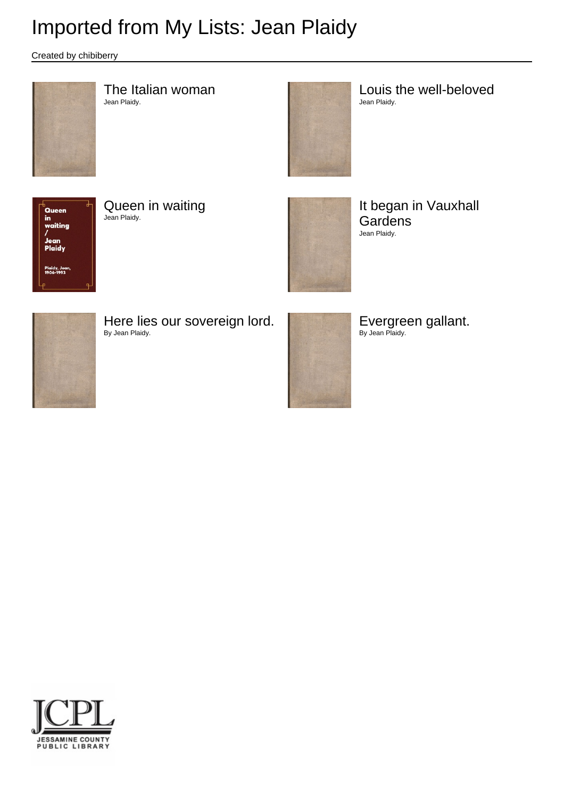Created by chibiberry



The Italian woman Jean Plaidy.



Louis the well-beloved Jean Plaidy.



Queen in waiting Jean Plaidy.



It began in Vauxhall Gardens Jean Plaidy.



Here lies our sovereign lord. By Jean Plaidy.



Evergreen gallant. By Jean Plaidy.

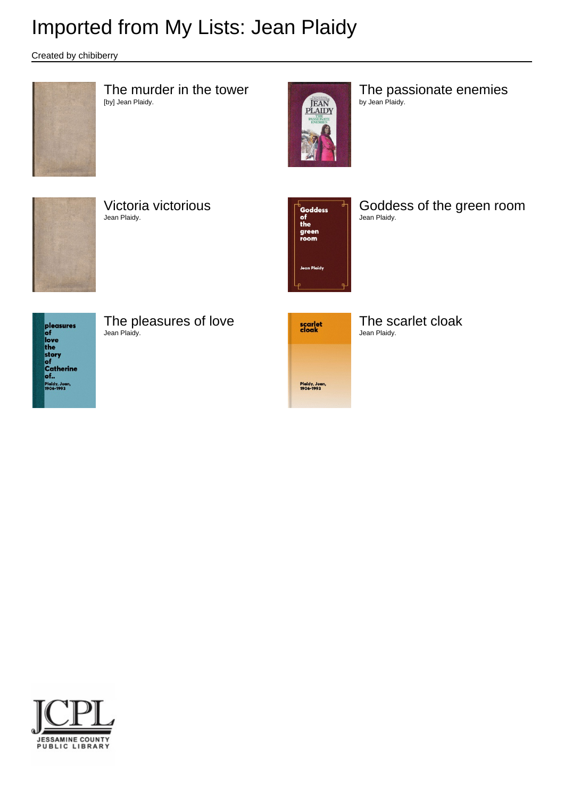Created by chibiberry



The murder in the tower [by] Jean Plaidy.



The passionate enemies by Jean Plaidy.



Victoria victorious Jean Plaidy.



Goddess of the green room Jean Plaidy.



The pleasures of love Jean Plaidy.



The scarlet cloak Jean Plaidy.

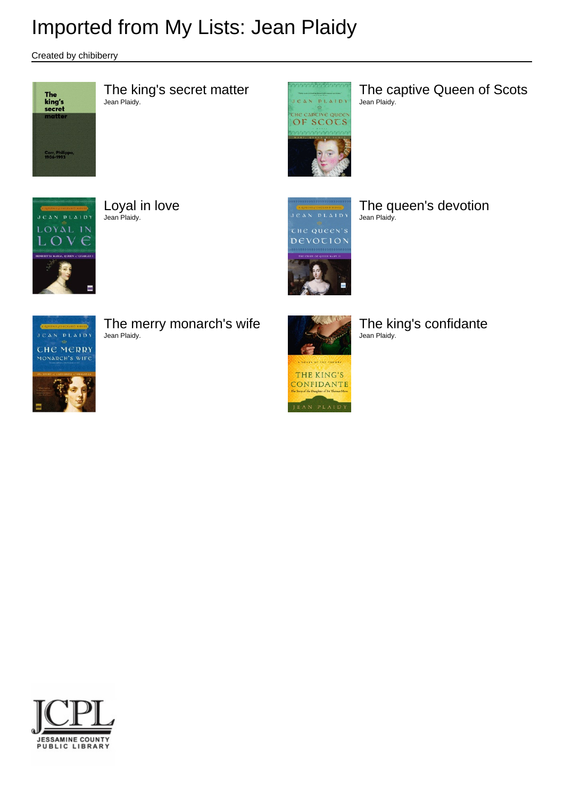Created by chibiberry



The king's secret matter Jean Plaidy.



The captive Queen of Scots Jean Plaidy.



Loyal in love Jean Plaidy.



The queen's devotion Jean Plaidy.



The merry monarch's wife Jean Plaidy.



The king's confidante Jean Plaidy.